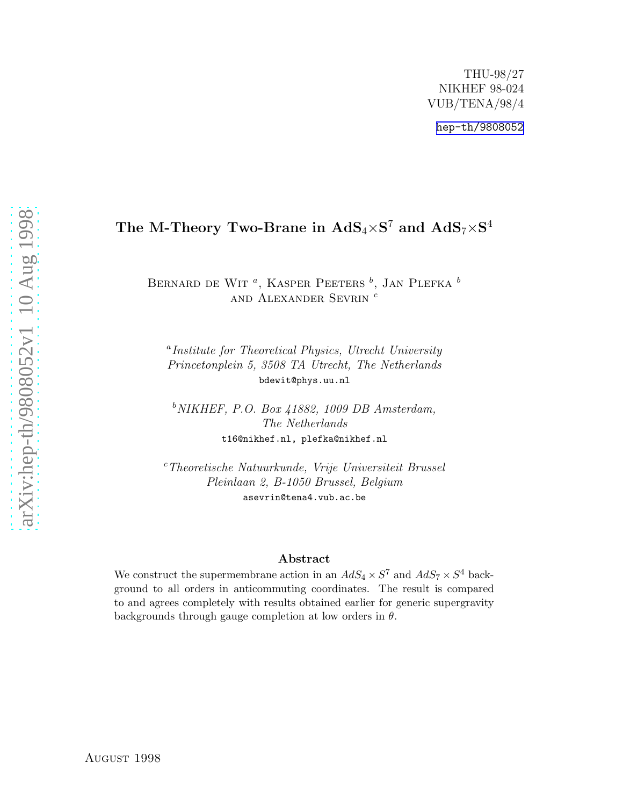[hep-th/9808052](http://arxiv.org/abs/hep-th/9808052)

# The M-Theory Two-Brane in  $\text{AdS}_4{\times}\text{S}^7$  and  $\text{AdS}_7{\times}\text{S}^4$

BERNARD DE WIT<sup> $a$ </sup>, KASPER PEETERS  $^b$ , JAN PLEFKA  $^b$ and Alexander Sevrin c

a Institute for Theoretical Physics, Utrecht University Princetonplein 5, 3508 TA Utrecht, The Netherlands bdewit@phys.uu.nl

 $b$  NIKHEF, P.O. Box 41882, 1009 DB Amsterdam, The Netherlands t16@nikhef.nl, plefka@nikhef.nl

<sup>c</sup>Theoretische Natuurkunde, Vrije Universiteit Brussel Pleinlaan 2, B-1050 Brussel, Belgium asevrin@tena4.vub.ac.be

### Abstract

We construct the supermembrane action in an  $AdS_4 \times S^7$  and  $AdS_7 \times S^4$  background to all orders in anticommuting coordinates. The result is compared to and agrees completely with results obtained earlier for generic supergravity backgrounds through gauge completion at low orders in  $\theta$ .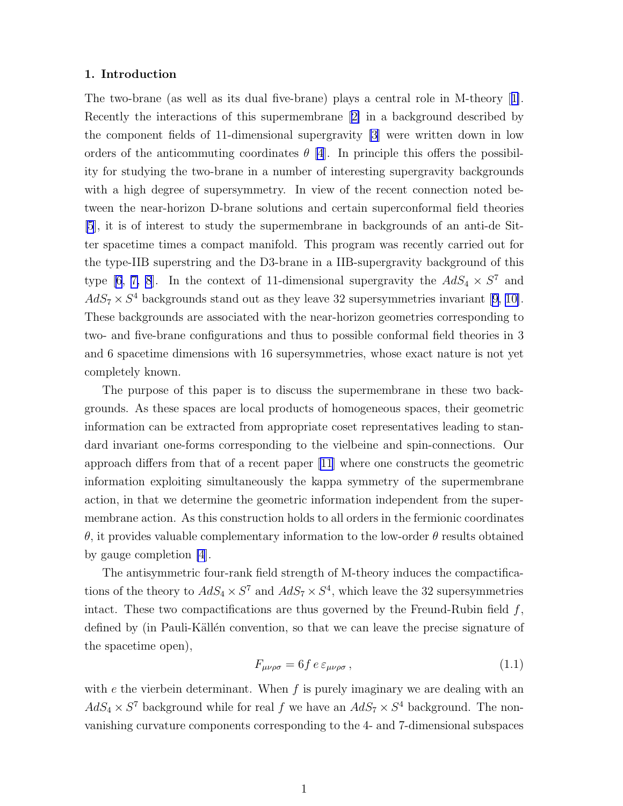#### <span id="page-1-0"></span>1. Introduction

Thetwo-brane (as well as its dual five-brane) plays a central role in M-theory [[1\]](#page-8-0). Recently the interactions of this supermembrane[[2\]](#page-8-0) in a background described by the component fields of 11-dimensional supergravity [\[3](#page-8-0)] were written down in low orders of the anticommuting coordinates  $\theta$  [\[4](#page-8-0)]. In principle this offers the possibility for studying the two-brane in a number of interesting supergravity backgrounds with a high degree of supersymmetry. In view of the recent connection noted between the near-horizon D-brane solutions and certain superconformal field theories [\[5](#page-8-0)], it is of interest to study the supermembrane in backgrounds of an anti-de Sitter spacetime times a compact manifold. This program was recently carried out for the type-IIB superstring and the D3-brane in a IIB-supergravity background of this type [\[6, 7, 8](#page-8-0)]. In the context of 11-dimensional supergravity the  $AdS_4 \times S^7$  and  $AdS_7 \times S^4$  backgrounds stand out as they leave 32 supersymmetries invariant [\[9, 10\]](#page-8-0). These backgrounds are associated with the near-horizon geometries corresponding to two- and five-brane configurations and thus to possible conformal field theories in 3 and 6 spacetime dimensions with 16 supersymmetries, whose exact nature is not yet completely known.

The purpose of this paper is to discuss the supermembrane in these two backgrounds. As these spaces are local products of homogeneous spaces, their geometric information can be extracted from appropriate coset representatives leading to standard invariant one-forms corresponding to the vielbeine and spin-connections. Our approach differs from that of a recent paper [\[11\]](#page-8-0) where one constructs the geometric information exploiting simultaneously the kappa symmetry of the supermembrane action, in that we determine the geometric information independent from the supermembrane action. As this construction holds to all orders in the fermionic coordinates θ, it provides valuable complementary information to the low-order θ results obtained by gauge completion [\[4](#page-8-0)].

The antisymmetric four-rank field strength of M-theory induces the compactifications of the theory to  $AdS_4 \times S^7$  and  $AdS_7 \times S^4$ , which leave the 32 supersymmetries intact. These two compactifications are thus governed by the Freund-Rubin field  $f$ , defined by (in Pauli-Källén convention, so that we can leave the precise signature of the spacetime open),

$$
F_{\mu\nu\rho\sigma} = 6f \, e \, \varepsilon_{\mu\nu\rho\sigma} \,, \tag{1.1}
$$

with  $e$  the vierbein determinant. When  $f$  is purely imaginary we are dealing with an  $AdS_4 \times S^7$  background while for real f we have an  $AdS_7 \times S^4$  background. The nonvanishing curvature components corresponding to the 4- and 7-dimensional subspaces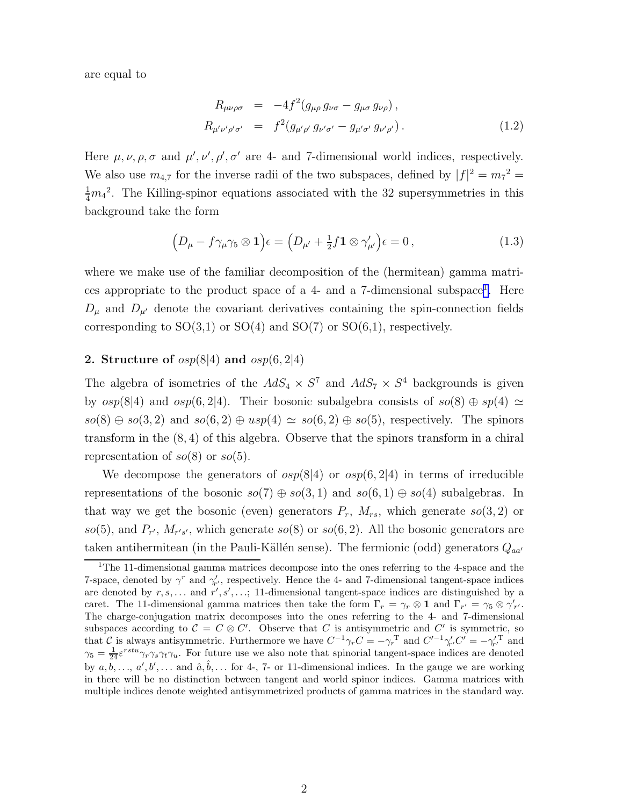<span id="page-2-0"></span>are equal to

$$
R_{\mu\nu\rho\sigma} = -4f^2(g_{\mu\rho}g_{\nu\sigma} - g_{\mu\sigma}g_{\nu\rho}),
$$
  
\n
$$
R_{\mu'\nu'\rho'\sigma'} = f^2(g_{\mu'\rho'}g_{\nu'\sigma'} - g_{\mu'\sigma'}g_{\nu'\rho'}).
$$
\n(1.2)

Here  $\mu$ ,  $\nu$ ,  $\rho$ ,  $\sigma$  and  $\mu'$ ,  $\nu'$ ,  $\rho'$ ,  $\sigma'$  are 4- and 7-dimensional world indices, respectively. We also use  $m_{4,7}$  for the inverse radii of the two subspaces, defined by  $|f|^2 = m_7^2 =$  $\frac{1}{4}m_4^2$ . The Killing-spinor equations associated with the 32 supersymmetries in this background take the form

$$
\left(D_{\mu} - f\gamma_{\mu}\gamma_5 \otimes \mathbf{1}\right)\epsilon = \left(D_{\mu'} + \frac{1}{2}f\mathbf{1} \otimes \gamma'_{\mu'}\right)\epsilon = 0\,,\tag{1.3}
$$

where we make use of the familiar decomposition of the (hermitean) gamma matrices appropriate to the product space of a  $4$ - and a  $7$ -dimensional subspace<sup>1</sup>. Here  $D_{\mu}$  and  $D_{\mu'}$  denote the covariant derivatives containing the spin-connection fields corresponding to  $SO(3,1)$  or  $SO(4)$  and  $SO(7)$  or  $SO(6,1)$ , respectively.

### 2. Structure of  $osp(8|4)$  and  $osp(6, 2|4)$

The algebra of isometries of the  $AdS_4 \times S^7$  and  $AdS_7 \times S^4$  backgrounds is given by  $osp(8|4)$  and  $osp(6, 2|4)$ . Their bosonic subalgebra consists of  $so(8) \oplus sp(4) \simeq$  $so(8) \oplus so(3,2)$  and  $so(6,2) \oplus usp(4) \simeq so(6,2) \oplus so(5)$ , respectively. The spinors transform in the (8, 4) of this algebra. Observe that the spinors transform in a chiral representation of  $so(8)$  or  $so(5)$ .

We decompose the generators of  $osp(8|4)$  or  $osp(6, 2|4)$  in terms of irreducible representations of the bosonic  $so(7) \oplus so(3, 1)$  and  $so(6, 1) \oplus so(4)$  subalgebras. In that way we get the bosonic (even) generators  $P_r$ ,  $M_{rs}$ , which generate  $so(3, 2)$  or so(5), and  $P_{r}$ ,  $M_{r's'}$ , which generate so(8) or so(6,2). All the bosonic generators are taken antihermitean (in the Pauli-Källén sense). The fermionic (odd) generators  $Q_{aa'}$ 

<sup>1</sup>The 11-dimensional gamma matrices decompose into the ones referring to the 4-space and the 7-space, denoted by  $\gamma^r$  and  $\gamma'_{r'}$ , respectively. Hence the 4- and 7-dimensional tangent-space indices are denoted by  $r, s, \ldots$  and  $r', s', \ldots$ ; 11-dimensional tangent-space indices are distinguished by a caret. The 11-dimensional gamma matrices then take the form  $\Gamma_r = \gamma_r \otimes \mathbf{1}$  and  $\Gamma_{r'} = \gamma_5 \otimes \gamma'_{r'}$ . The charge-conjugation matrix decomposes into the ones referring to the 4- and 7-dimensional subspaces according to  $C = C \otimes C'$ . Observe that C is antisymmetric and C' is symmetric, so that C is always antisymmetric. Furthermore we have  $C^{-1}\gamma_rC = -\gamma_r^{\mathrm{T}}$  and  $C'^{-1}\gamma_{r'}C' = -\gamma_{r'}^{\mathrm{T}}$  and  $\gamma_5 = \frac{1}{24} \varepsilon^{rstu} \gamma_r \gamma_s \gamma_t \gamma_u$ . For future use we also note that spinorial tangent-space indices are denoted by  $a, \overline{b}, \ldots, a', b', \ldots$  and  $\hat{a}, \hat{b}, \ldots$  for 4-, 7- or 11-dimensional indices. In the gauge we are working in there will be no distinction between tangent and world spinor indices. Gamma matrices with multiple indices denote weighted antisymmetrized products of gamma matrices in the standard way.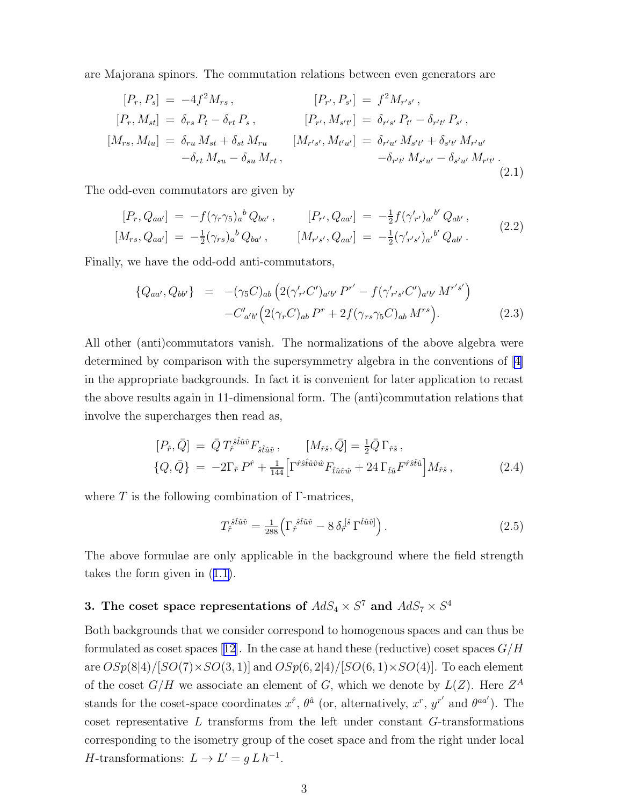<span id="page-3-0"></span>are Majorana spinors. The commutation relations between even generators are

$$
[P_r, P_s] = -4f^2 M_{rs}, \qquad [P_{r'}, P_{s'}] = f^2 M_{r's'},
$$
  
\n
$$
[P_r, M_{st}] = \delta_{rs} P_t - \delta_{rt} P_s, \qquad [P_{r'}, M_{s't'}] = \delta_{r's'} P_{t'} - \delta_{r't'} P_{s'},
$$
  
\n
$$
[M_{rs}, M_{tu}] = \delta_{ru} M_{st} + \delta_{st} M_{ru} \qquad [M_{r's'}, M_{t'u'}] = \delta_{r'u'} M_{s't'} + \delta_{s't'} M_{r'u'}
$$
  
\n
$$
-\delta_{r't'} M_{s'u'} - \delta_{s'u'} M_{r't'}.
$$
\n(2.1)

The odd-even commutators are given by

$$
[P_r, Q_{aa'}] = -f(\gamma_r \gamma_5)_a{}^b Q_{ba'}, \qquad [P_{r'}, Q_{aa'}] = -\frac{1}{2} f(\gamma'_{r'})_{a'}{}^{b'} Q_{ab'},
$$
  
\n
$$
[M_{rs}, Q_{aa'}] = -\frac{1}{2} (\gamma_{rs})_a{}^b Q_{ba'}, \qquad [M_{r's'}, Q_{aa'}] = -\frac{1}{2} (\gamma'_{r's'})_{a'}{}^{b'} Q_{ab'}.
$$
\n
$$
(2.2)
$$

Finally, we have the odd-odd anti-commutators,

$$
\{Q_{aa'}, Q_{bb'}\} = -(\gamma_5 C)_{ab} \left( 2(\gamma'_{r'} C')_{a'b'} P^{r'} - f(\gamma'_{r's'} C')_{a'b'} M^{r's'} \right) - C'_{a'b'} \left( 2(\gamma_r C)_{ab} P^r + 2f(\gamma_{rs} \gamma_5 C)_{ab} M^{rs} \right).
$$
(2.3)

All other (anti)commutators vanish. The normalizations of the above algebra were determined by comparison with the supersymmetry algebra in the conventions of[[4\]](#page-8-0) in the appropriate backgrounds. In fact it is convenient for later application to recast the above results again in 11-dimensional form. The (anti)commutation relations that involve the supercharges then read as,

$$
[P_{\hat{r}}, \bar{Q}] = \bar{Q} T_{\hat{r}}^{\hat{s}\hat{t}\hat{u}\hat{v}} F_{\hat{s}\hat{t}\hat{u}\hat{v}}, \qquad [M_{\hat{r}\hat{s}}, \bar{Q}] = \frac{1}{2} \bar{Q} \Gamma_{\hat{r}\hat{s}},
$$
  

$$
\{Q, \bar{Q}\} = -2\Gamma_{\hat{r}} P^{\hat{r}} + \frac{1}{144} \Big[ \Gamma^{\hat{r}\hat{s}\hat{t}\hat{u}\hat{v}\hat{w}} F_{\hat{t}\hat{u}\hat{v}\hat{w}} + 24 \Gamma_{\hat{t}\hat{u}} F^{\hat{r}\hat{s}\hat{t}\hat{u}} \Big] M_{\hat{r}\hat{s}}, \qquad (2.4)
$$

where  $T$  is the following combination of  $\Gamma$ -matrices,

$$
T_{\hat{r}}^{\hat{s}\hat{t}\hat{u}\hat{v}} = \frac{1}{288} \left( \Gamma_{\hat{r}}^{\hat{s}\hat{t}\hat{u}\hat{v}} - 8 \delta_{\hat{r}}^{\left[\hat{s}\right]} \Gamma^{\hat{t}\hat{u}\hat{v}\right).
$$
 (2.5)

The above formulae are only applicable in the background where the field strength takes the form given in([1.1\)](#page-1-0).

## 3. The coset space representations of  $AdS_4 \times S^7$  and  $AdS_7 \times S^4$

Both backgrounds that we consider correspond to homogenous spaces and can thus be formulatedas coset spaces [[12\]](#page-9-0). In the case at hand these (reductive) coset spaces  $G/H$ are  $OSp(8|4)/[SO(7)\times SO(3, 1)]$  and  $OSp(6, 2|4)/[SO(6, 1)\times SO(4)]$ . To each element of the coset  $G/H$  we associate an element of G, which we denote by  $L(Z)$ . Here  $Z^A$ stands for the coset-space coordinates  $x^{\hat{r}}$ ,  $\theta^{\hat{a}}$  (or, alternatively,  $x^r$ ,  $y^{r'}$  and  $\theta^{aa'}$ ). The coset representative  $L$  transforms from the left under constant  $G$ -transformations corresponding to the isometry group of the coset space and from the right under local *H*-transformations:  $L \to L' = g L h^{-1}$ .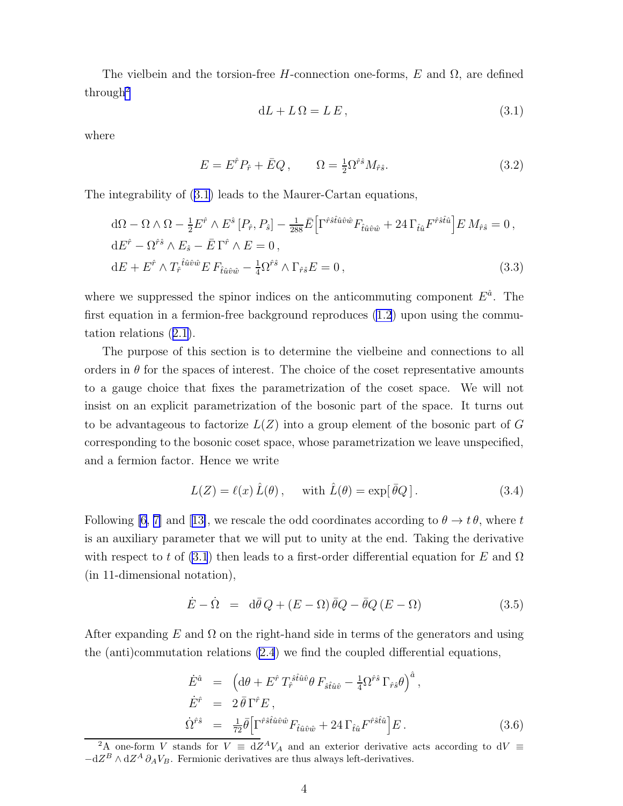<span id="page-4-0"></span>The vielbein and the torsion-free H-connection one-forms, E and  $\Omega$ , are defined through<sup>2</sup>

$$
dL + L\Omega = LE, \qquad (3.1)
$$

where

$$
E = E^{\hat{r}} P_{\hat{r}} + \bar{E} Q, \qquad \Omega = \frac{1}{2} \Omega^{\hat{r}\hat{s}} M_{\hat{r}\hat{s}}.
$$
 (3.2)

The integrability of (3.1) leads to the Maurer-Cartan equations,

$$
d\Omega - \Omega \wedge \Omega - \frac{1}{2} E^{\hat{r}} \wedge E^{\hat{s}} [P_{\hat{r}}, P_{\hat{s}}] - \frac{1}{288} \bar{E} \Big[ \Gamma^{\hat{r}\hat{s}\hat{t}\hat{u}\hat{v}\hat{w}} F_{\hat{t}\hat{u}\hat{v}\hat{w}} + 24 \Gamma_{\hat{t}\hat{u}} F^{\hat{r}\hat{s}\hat{t}\hat{u}} \Big] E M_{\hat{r}\hat{s}} = 0,
$$
  
\n
$$
dE^{\hat{r}} - \Omega^{\hat{r}\hat{s}} \wedge E_{\hat{s}} - \bar{E} \Gamma^{\hat{r}} \wedge E = 0,
$$
  
\n
$$
dE + E^{\hat{r}} \wedge T_{\hat{r}}^{\hat{t}\hat{u}\hat{v}\hat{w}} E F_{\hat{t}\hat{u}\hat{v}\hat{w}} - \frac{1}{4} \Omega^{\hat{r}\hat{s}} \wedge \Gamma_{\hat{r}\hat{s}} E = 0,
$$
\n(3.3)

where we suppressed the spinor indices on the anticommuting component  $E^{\hat{a}}$ . The first equation in a fermion-free background reproduces [\(1.2](#page-2-0)) upon using the commutation relations([2.1\)](#page-3-0).

The purpose of this section is to determine the vielbeine and connections to all orders in  $\theta$  for the spaces of interest. The choice of the coset representative amounts to a gauge choice that fixes the parametrization of the coset space. We will not insist on an explicit parametrization of the bosonic part of the space. It turns out to be advantageous to factorize  $L(Z)$  into a group element of the bosonic part of G corresponding to the bosonic coset space, whose parametrization we leave unspecified, and a fermion factor. Hence we write

$$
L(Z) = \ell(x)\,\hat{L}(\theta)\,, \quad \text{ with } \hat{L}(\theta) = \exp[\,\bar{\theta}Q\,]\,. \tag{3.4}
$$

Following [\[6](#page-8-0), [7\]](#page-8-0)and [[13\]](#page-9-0), we rescale the odd coordinates according to  $\theta \to t \theta$ , where t is an auxiliary parameter that we will put to unity at the end. Taking the derivative with respect to t of (3.1) then leads to a first-order differential equation for E and  $\Omega$ (in 11-dimensional notation),

$$
\dot{E} - \dot{\Omega} = d\bar{\theta} Q + (E - \Omega)\bar{\theta}Q - \bar{\theta}Q(E - \Omega)
$$
\n(3.5)

After expanding E and  $\Omega$  on the right-hand side in terms of the generators and using the (anti)commutation relations [\(2.4](#page-3-0)) we find the coupled differential equations,

$$
\dot{E}^{\hat{a}} = \left( \mathrm{d}\theta + E^{\hat{r}} \, T_{\hat{r}}^{\hat{s}\hat{t}\hat{u}\hat{v}} \theta \, F_{\hat{s}\hat{t}\hat{u}\hat{v}} - \frac{1}{4} \Omega^{\hat{r}\hat{s}} \, \Gamma_{\hat{r}\hat{s}} \theta \right)^{\hat{a}},
$$
\n
$$
\dot{E}^{\hat{r}} = 2 \, \bar{\theta} \, \Gamma^{\hat{r}} E \,,
$$
\n
$$
\dot{\Omega}^{\hat{r}\hat{s}} = \frac{1}{72} \bar{\theta} \Big[ \Gamma^{\hat{r}\hat{s}\hat{t}\hat{u}\hat{v}\hat{w}} F_{\hat{t}\hat{u}\hat{v}\hat{w}} + 24 \, \Gamma_{\hat{t}\hat{u}} F^{\hat{r}\hat{s}\hat{t}\hat{u}} \Big] E \,. \tag{3.6}
$$

<sup>&</sup>lt;sup>2</sup>A one-form V stands for  $V = dZ^AV_A$  and an exterior derivative acts according to  $dV \equiv$  $-dZ^B \wedge dZ^A \partial_A V_B$ . Fermionic derivatives are thus always left-derivatives.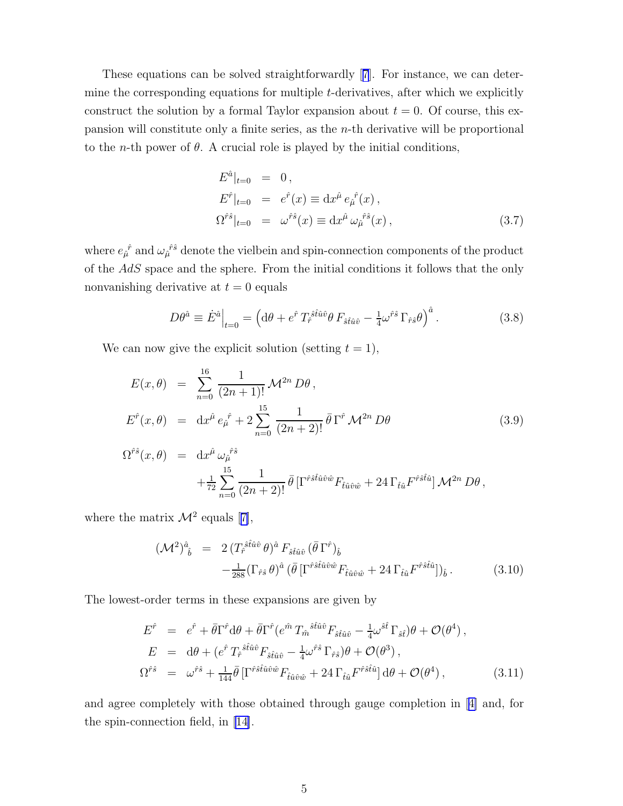<span id="page-5-0"></span>These equations can be solved straightforwardly[[7](#page-8-0)]. For instance, we can determine the corresponding equations for multiple  $t$ -derivatives, after which we explicitly construct the solution by a formal Taylor expansion about  $t = 0$ . Of course, this expansion will constitute only a finite series, as the n-th derivative will be proportional to the *n*-th power of  $\theta$ . A crucial role is played by the initial conditions,

$$
E^{\hat{a}}|_{t=0} = 0,
$$
  
\n
$$
E^{\hat{r}}|_{t=0} = e^{\hat{r}}(x) \equiv dx^{\hat{\mu}} e_{\hat{\mu}}{}^{\hat{r}}(x),
$$
  
\n
$$
\Omega^{\hat{r}\hat{s}}|_{t=0} = \omega^{\hat{r}\hat{s}}(x) \equiv dx^{\hat{\mu}} \omega_{\hat{\mu}}{}^{\hat{r}\hat{s}}(x),
$$
\n(3.7)

where  $e_{\hat{\mu}}^{\hat{r}}$  and  $\omega_{\hat{\mu}}^{\hat{r}\hat{s}}$  denote the vielbein and spin-connection components of the product of the AdS space and the sphere. From the initial conditions it follows that the only nonvanishing derivative at  $t = 0$  equals

$$
D\theta^{\hat{a}} \equiv \dot{E}^{\hat{a}}\Big|_{t=0} = \left(\mathrm{d}\theta + e^{\hat{r}} T_{\hat{r}}^{\hat{s}\hat{t}\hat{u}\hat{v}}\theta F_{\hat{s}\hat{t}\hat{u}\hat{v}} - \frac{1}{4}\omega^{\hat{r}\hat{s}}\Gamma_{\hat{r}\hat{s}}\theta\right)^{\hat{a}}.\tag{3.8}
$$

We can now give the explicit solution (setting  $t = 1$ ),

$$
E(x,\theta) = \sum_{n=0}^{16} \frac{1}{(2n+1)!} \mathcal{M}^{2n} D\theta,
$$
  
\n
$$
E^{\hat{r}}(x,\theta) = dx^{\hat{\mu}} e_{\hat{\mu}}{}^{\hat{r}} + 2 \sum_{n=0}^{15} \frac{1}{(2n+2)!} \bar{\theta} \Gamma^{\hat{r}} \mathcal{M}^{2n} D\theta
$$
  
\n
$$
\Omega^{\hat{r}\hat{s}}(x,\theta) = dx^{\hat{\mu}} \omega_{\hat{\mu}}{}^{\hat{r}\hat{s}}
$$
\n(3.9)

$$
\hat{\theta}(x,\theta) = dx^{\hat{\mu}} \omega_{\hat{\mu}}^{\hat{r}\hat{s}} \n+ \frac{1}{72} \sum_{n=0}^{15} \frac{1}{(2n+2)!} \bar{\theta} \left[ \Gamma^{\hat{r}\hat{s}\hat{t}\hat{u}\hat{v}\hat{w}} F_{\hat{t}\hat{u}\hat{v}\hat{w}} + 24 \Gamma_{\hat{t}\hat{u}} F^{\hat{r}\hat{s}\hat{t}\hat{u}} \right] \mathcal{M}^{2n} D\theta,
$$

wherethe matrix  $\mathcal{M}^2$  equals [[7\]](#page-8-0),

$$
(\mathcal{M}^2)^{\hat{a}}_{\hat{b}} = 2 \left( T_{\hat{r}}^{\hat{s}\hat{t}\hat{u}\hat{v}} \theta \right)^{\hat{a}} F_{\hat{s}\hat{t}\hat{u}\hat{v}} \left( \bar{\theta} \Gamma^{\hat{r}} \right)_{\hat{b}} -\frac{1}{288} \left( \Gamma_{\hat{r}\hat{s}} \theta \right)^{\hat{a}} \left( \bar{\theta} \left[ \Gamma^{\hat{r}\hat{s}\hat{t}\hat{u}\hat{v}\hat{w}} F_{\hat{t}\hat{u}\hat{v}\hat{w}} + 24 \Gamma_{\hat{t}\hat{u}} F^{\hat{r}\hat{s}\hat{t}\hat{u}} \right] \right)_{\hat{b}}.
$$
 (3.10)

The lowest-order terms in these expansions are given by

$$
E^{\hat{r}} = e^{\hat{r}} + \bar{\theta}\Gamma^{\hat{r}}d\theta + \bar{\theta}\Gamma^{\hat{r}}(e^{\hat{m}}T_{\hat{m}}{}^{\hat{s}\hat{t}\hat{u}\hat{v}}F_{\hat{s}\hat{t}\hat{u}\hat{v}} - \frac{1}{4}\omega^{\hat{s}\hat{t}}\Gamma_{\hat{s}\hat{t}})\theta + \mathcal{O}(\theta^{4}),
$$
  
\n
$$
E = d\theta + (e^{\hat{r}}T_{\hat{r}}{}^{\hat{s}\hat{t}\hat{u}\hat{v}}F_{\hat{s}\hat{t}\hat{u}\hat{v}} - \frac{1}{4}\omega^{\hat{r}\hat{s}}\Gamma_{\hat{r}\hat{s}})\theta + \mathcal{O}(\theta^{3}),
$$
  
\n
$$
\Omega^{\hat{r}\hat{s}} = \omega^{\hat{r}\hat{s}} + \frac{1}{144}\bar{\theta}\left[\Gamma^{\hat{r}\hat{s}\hat{t}\hat{u}\hat{v}\hat{w}}F_{\hat{t}\hat{u}\hat{v}\hat{w}} + 24\Gamma_{\hat{t}\hat{u}}F^{\hat{r}\hat{s}\hat{t}\hat{u}}\right]d\theta + \mathcal{O}(\theta^{4}),
$$
\n(3.11)

and agree completely with those obtained through gauge completion in[[4\]](#page-8-0) and, for the spin-connection field, in[[14\]](#page-9-0).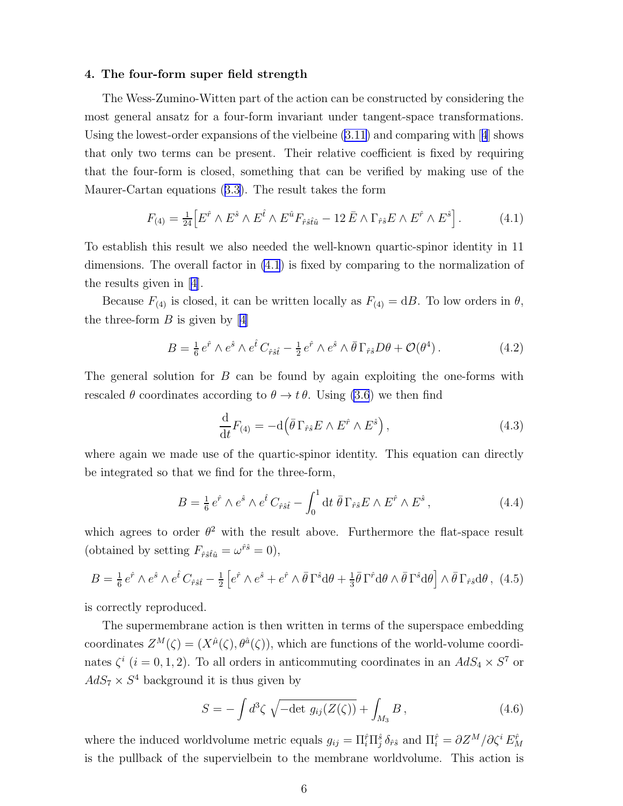### 4. The four-form super field strength

The Wess-Zumino-Witten part of the action can be constructed by considering the most general ansatz for a four-form invariant under tangent-space transformations. Usingthe lowest-order expansions of the vielbeine  $(3.11)$  and comparing with [[4](#page-8-0)] shows that only two terms can be present. Their relative coefficient is fixed by requiring that the four-form is closed, something that can be verified by making use of the Maurer-Cartan equations([3.3\)](#page-4-0). The result takes the form

$$
F_{(4)} = \frac{1}{24} \Big[ E^{\hat{r}} \wedge E^{\hat{s}} \wedge E^{\hat{t}} \wedge E^{\hat{u}} F_{\hat{r}\hat{s}\hat{t}\hat{u}} - 12 \bar{E} \wedge \Gamma_{\hat{r}\hat{s}} E \wedge E^{\hat{r}} \wedge E^{\hat{s}} \Big]. \tag{4.1}
$$

To establish this result we also needed the well-known quartic-spinor identity in 11 dimensions. The overall factor in (4.1) is fixed by comparing to the normalization of the results given in[[4\]](#page-8-0).

Because  $F_{(4)}$  is closed, it can be written locally as  $F_{(4)} = dB$ . To low orders in  $\theta$ , thethree-form  $B$  is given by [[4\]](#page-8-0)

$$
B = \frac{1}{6} e^{\hat{r}} \wedge e^{\hat{s}} \wedge e^{\hat{t}} C_{\hat{r}\hat{s}\hat{t}} - \frac{1}{2} e^{\hat{r}} \wedge e^{\hat{s}} \wedge \bar{\theta} \Gamma_{\hat{r}\hat{s}} D\theta + \mathcal{O}(\theta^4) \,. \tag{4.2}
$$

The general solution for  $B$  can be found by again exploiting the one-forms with rescaled  $\theta$  coordinates according to  $\theta \to t \theta$ . Using [\(3.6](#page-4-0)) we then find

$$
\frac{\mathrm{d}}{\mathrm{d}t}F_{(4)} = -\mathrm{d}\left(\bar{\theta}\,\Gamma_{\hat{r}\hat{s}}E\wedge E^{\hat{r}}\wedge E^{\hat{s}}\right),\tag{4.3}
$$

where again we made use of the quartic-spinor identity. This equation can directly be integrated so that we find for the three-form,

$$
B = \frac{1}{6} e^{\hat{r}} \wedge e^{\hat{s}} \wedge e^{\hat{t}} C_{\hat{r}\hat{s}\hat{t}} - \int_0^1 \mathrm{d}t \; \bar{\theta} \, \Gamma_{\hat{r}\hat{s}} E \wedge E^{\hat{r}} \wedge E^{\hat{s}} \,, \tag{4.4}
$$

which agrees to order  $\theta^2$  with the result above. Furthermore the flat-space result (obtained by setting  $F_{\hat{r}\hat{s}\hat{t}\hat{u}} = \omega^{\hat{r}\hat{s}} = 0$ ),

$$
B = \frac{1}{6} e^{\hat{r}} \wedge e^{\hat{s}} \wedge e^{\hat{t}} C_{\hat{r}\hat{s}\hat{t}} - \frac{1}{2} \left[ e^{\hat{r}} \wedge e^{\hat{s}} + e^{\hat{r}} \wedge \bar{\theta} \Gamma^{\hat{s}} d\theta + \frac{1}{3} \bar{\theta} \Gamma^{\hat{r}} d\theta \wedge \bar{\theta} \Gamma^{\hat{s}} d\theta \right] \wedge \bar{\theta} \Gamma_{\hat{r}\hat{s}} d\theta, \tag{4.5}
$$

is correctly reproduced.

The supermembrane action is then written in terms of the superspace embedding coordinates  $Z^M(\zeta) = (X^{\hat{\mu}}(\zeta), \theta^{\hat{\alpha}}(\zeta))$ , which are functions of the world-volume coordinates  $\zeta^i$  ( $i = 0, 1, 2$ ). To all orders in anticommuting coordinates in an  $AdS_4 \times S^7$  or  $AdS_7 \times S^4$  background it is thus given by

$$
S = -\int d^3\zeta \sqrt{-\det g_{ij}(Z(\zeta))} + \int_{M_3} B,
$$
\n(4.6)

where the induced worldvolume metric equals  $g_{ij} = \Pi_i^{\hat{r}} \Pi_j^{\hat{s}} \delta_{\hat{r}\hat{s}}$  and  $\Pi_i^{\hat{r}} = \partial Z^M / \partial \zeta^i E_M^{\hat{r}}$ is the pullback of the supervielbein to the membrane worldvolume. This action is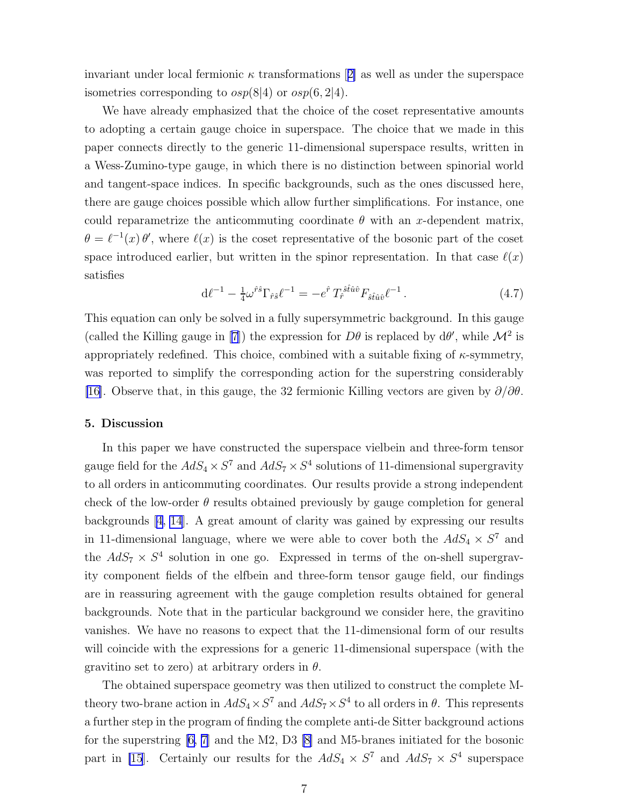invariantunder local fermionic  $\kappa$  transformations [[2\]](#page-8-0) as well as under the superspace isometries corresponding to  $osp(8|4)$  or  $osp(6, 2|4)$ .

We have already emphasized that the choice of the coset representative amounts to adopting a certain gauge choice in superspace. The choice that we made in this paper connects directly to the generic 11-dimensional superspace results, written in a Wess-Zumino-type gauge, in which there is no distinction between spinorial world and tangent-space indices. In specific backgrounds, such as the ones discussed here, there are gauge choices possible which allow further simplifications. For instance, one could reparametrize the anticommuting coordinate  $\theta$  with an x-dependent matrix,  $\theta = \ell^{-1}(x) \theta'$ , where  $\ell(x)$  is the coset representative of the bosonic part of the coset space introduced earlier, but written in the spinor representation. In that case  $\ell(x)$ satisfies

$$
d\ell^{-1} - \frac{1}{4}\omega^{\hat{r}s}\Gamma_{\hat{r}s}\ell^{-1} = -e^{\hat{r}}T_{\hat{r}}^{\hat{s}\hat{t}\hat{u}\hat{v}}F_{\hat{s}\hat{t}\hat{u}\hat{v}}\ell^{-1}.
$$
 (4.7)

This equation can only be solved in a fully supersymmetric background. In this gauge (called the Killing gauge in [\[7\]](#page-8-0)) the expression for  $D\theta$  is replaced by  $d\theta'$ , while  $\mathcal{M}^2$  is appropriately redefined. This choice, combined with a suitable fixing of  $\kappa$ -symmetry, was reported to simplify the corresponding action for the superstring considerably [\[16\]](#page-9-0). Observe that, in this gauge, the 32 fermionic Killing vectors are given by  $\partial/\partial\theta$ .

### 5. Discussion

In this paper we have constructed the superspace vielbein and three-form tensor gauge field for the  $AdS_4 \times S^7$  and  $AdS_7 \times S^4$  solutions of 11-dimensional supergravity to all orders in anticommuting coordinates. Our results provide a strong independent check of the low-order  $\theta$  results obtained previously by gauge completion for general backgrounds [\[4](#page-8-0), [14](#page-9-0)]. A great amount of clarity was gained by expressing our results in 11-dimensional language, where we were able to cover both the  $AdS_4 \times S^7$  and the  $AdS_7 \times S^4$  solution in one go. Expressed in terms of the on-shell supergravity component fields of the elfbein and three-form tensor gauge field, our findings are in reassuring agreement with the gauge completion results obtained for general backgrounds. Note that in the particular background we consider here, the gravitino vanishes. We have no reasons to expect that the 11-dimensional form of our results will coincide with the expressions for a generic 11-dimensional superspace (with the gravitino set to zero) at arbitrary orders in  $\theta$ .

The obtained superspace geometry was then utilized to construct the complete Mtheory two-brane action in  $AdS_4 \times S^7$  and  $AdS_7 \times S^4$  to all orders in  $\theta$ . This represents a further step in the program of finding the complete anti-de Sitter background actions for the superstring [\[6, 7\]](#page-8-0) and the M2, D3 [\[8](#page-8-0)] and M5-branes initiated for the bosonic part in [\[15](#page-9-0)]. Certainly our results for the  $AdS_4 \times S^7$  and  $AdS_7 \times S^4$  superspace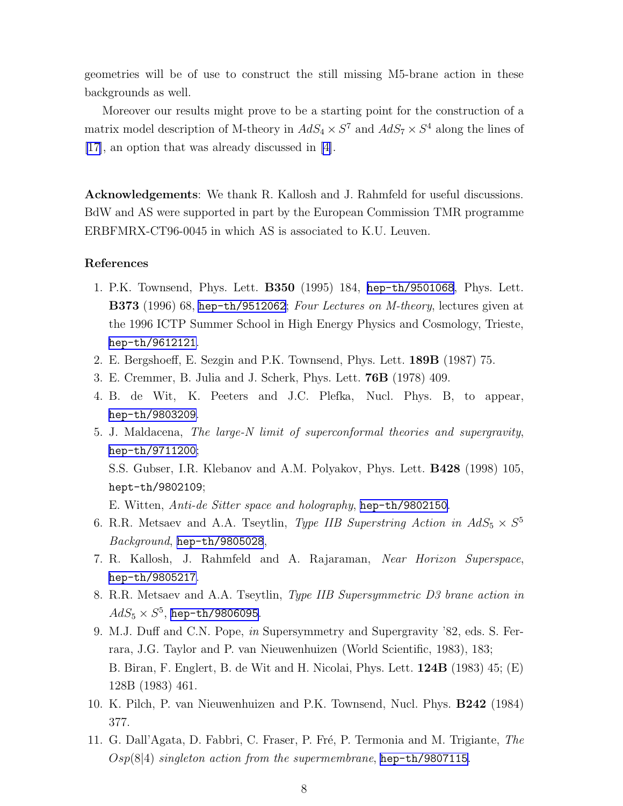<span id="page-8-0"></span>geometries will be of use to construct the still missing M5-brane action in these backgrounds as well.

Moreover our results might prove to be a starting point for the construction of a matrix model description of M-theory in  $AdS_4 \times S^7$  and  $AdS_7 \times S^4$  along the lines of [\[17\]](#page-9-0), an option that was already discussed in [4].

Acknowledgements: We thank R. Kallosh and J. Rahmfeld for useful discussions. BdW and AS were supported in part by the European Commission TMR programme ERBFMRX-CT96-0045 in which AS is associated to K.U. Leuven.

### References

- 1. P.K. Townsend, Phys. Lett. B350 (1995) 184, [hep-th/9501068](http://arxiv.org/abs/hep-th/9501068), Phys. Lett. B373 (1996) 68, [hep-th/9512062](http://arxiv.org/abs/hep-th/9512062); Four Lectures on M-theory, lectures given at the 1996 ICTP Summer School in High Energy Physics and Cosmology, Trieste, [hep-th/9612121](http://arxiv.org/abs/hep-th/9612121).
- 2. E. Bergshoeff, E. Sezgin and P.K. Townsend, Phys. Lett. 189B (1987) 75.
- 3. E. Cremmer, B. Julia and J. Scherk, Phys. Lett. 76B (1978) 409.
- 4. B. de Wit, K. Peeters and J.C. Plefka, Nucl. Phys. B, to appear, [hep-th/9803209](http://arxiv.org/abs/hep-th/9803209).
- 5. J. Maldacena, The large-N limit of superconformal theories and supergravity, [hep-th/9711200](http://arxiv.org/abs/hep-th/9711200); S.S. Gubser, I.R. Klebanov and A.M. Polyakov, Phys. Lett. B428 (1998) 105, hept-th/9802109; E. Witten, Anti-de Sitter space and holography, [hep-th/9802150](http://arxiv.org/abs/hep-th/9802150).
- 6. R.R. Metsaev and A.A. Tseytlin, *Type IIB Superstring Action in*  $AdS_5 \times S^5$ Background, [hep-th/9805028](http://arxiv.org/abs/hep-th/9805028),
- 7. R. Kallosh, J. Rahmfeld and A. Rajaraman, Near Horizon Superspace, [hep-th/9805217](http://arxiv.org/abs/hep-th/9805217).
- 8. R.R. Metsaev and A.A. Tseytlin, Type IIB Supersymmetric D3 brane action in  $AdS_5\times S^5$ , [hep-th/9806095](http://arxiv.org/abs/hep-th/9806095).
- 9. M.J. Duff and C.N. Pope, in Supersymmetry and Supergravity '82, eds. S. Ferrara, J.G. Taylor and P. van Nieuwenhuizen (World Scientific, 1983), 183; B. Biran, F. Englert, B. de Wit and H. Nicolai, Phys. Lett. 124B (1983) 45; (E) 128B (1983) 461.
- 10. K. Pilch, P. van Nieuwenhuizen and P.K. Townsend, Nucl. Phys. B242 (1984) 377.
- 11. G. Dall'Agata, D. Fabbri, C. Fraser, P. Fré, P. Termonia and M. Trigiante, The  $Osp(8|4)$  singleton action from the supermembrane, [hep-th/9807115](http://arxiv.org/abs/hep-th/9807115).